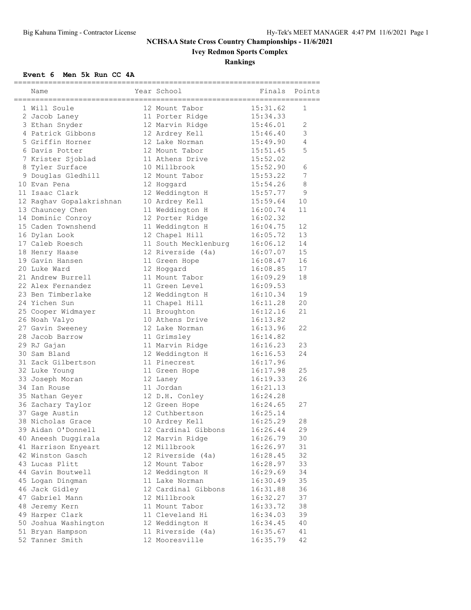# **Ivey Redmon Sports Complex**

**Rankings**

#### **Event 6 Men 5k Run CC 4A**

| Name                                | Year School                       | ,,,,,,,,,,,,,,,,,,,,,,,,<br>Finals | Points |
|-------------------------------------|-----------------------------------|------------------------------------|--------|
| ==================<br>1 Will Soule  | 12 Mount Tabor                    | 15:31.62                           | 1      |
| 2 Jacob Laney                       | 11 Porter Ridge                   | 15:34.33                           |        |
| 3 Ethan Snyder                      | 12 Marvin Ridge                   | 15:46.01                           | 2      |
| 4 Patrick Gibbons                   | 12 Ardrey Kell                    | 15:46.40                           | 3      |
| 5 Griffin Horner                    | 12 Lake Norman                    | 15:49.90                           | 4      |
| 6 Davis Potter                      | 12 Mount Tabor                    | 15:51.45                           | 5      |
| 7 Krister Sjoblad                   | 11 Athens Drive                   | 15:52.02                           |        |
| 8 Tyler Surface                     | 10 Millbrook                      | 15:52.90                           | 6      |
| 9 Douglas Gledhill                  | 12 Mount Tabor                    | 15:53.22                           | 7      |
| 10 Evan Pena                        | 12 Hoggard                        | 15:54.26                           | 8      |
| 11 Isaac Clark                      | 12 Weddington H                   | 15:57.77                           | 9      |
| 12 Raghav Gopalakrishnan            | 10 Ardrey Kell                    | 15:59.64                           | 10     |
| 13 Chauncey Chen                    | 11 Weddington H                   | 16:00.74                           | 11     |
| 14 Dominic Conroy                   | 12 Porter Ridge                   | 16:02.32                           |        |
| 15 Caden Townshend                  | 11 Weddington H                   | 16:04.75                           | 12     |
| 16 Dylan Look                       | 12 Chapel Hill                    | 16:05.72                           | 13     |
| 17 Caleb Roesch                     | 11 South Mecklenburg              | 16:06.12                           | 14     |
| 18 Henry Haase                      | 12 Riverside (4a)                 | 16:07.07                           | 15     |
| 19 Gavin Hansen                     | 11 Green Hope                     | 16:08.47                           | 16     |
| 20 Luke Ward                        | 12 Hoggard                        | 16:08.85                           | 17     |
| 21 Andrew Burrell                   | 11 Mount Tabor                    | 16:09.29                           | 18     |
| 22 Alex Fernandez                   | 11 Green Level                    | 16:09.53                           |        |
| 23 Ben Timberlake                   |                                   | 16:10.34                           | 19     |
| 24 Yichen Sun                       | 12 Weddington H<br>11 Chapel Hill | 16:11.28                           | 20     |
|                                     | 11 Broughton                      | 16:12.16                           | 21     |
| 25 Cooper Widmayer<br>26 Noah Valyo | 10 Athens Drive                   | 16:13.82                           |        |
| 27 Gavin Sweeney                    | 12 Lake Norman                    | 16:13.96                           | 22     |
| 28 Jacob Barrow                     | 11 Grimsley                       | 16:14.82                           |        |
| 29 RJ Gajan                         | 11 Marvin Ridge                   | 16:16.23                           | 23     |
| 30 Sam Bland                        | 12 Weddington H                   | 16:16.53                           | 24     |
| 31 Zack Gilbertson                  | 11 Pinecrest                      | 16:17.96                           |        |
| 32 Luke Young                       | 11 Green Hope                     | 16:17.98                           | 25     |
| 33 Joseph Moran                     | 12 Laney                          | 16:19.33                           | 26     |
| 34 Ian Rouse                        | 11 Jordan                         | 16:21.13                           |        |
| 35 Nathan Geyer                     | 12 D.H. Conley                    | 16:24.28                           |        |
| 36 Zachary Taylor                   | 12 Green Hope                     | 16:24.65                           | 27     |
|                                     | 12 Cuthbertson                    | 16:25.14                           |        |
| 37 Gage Austin<br>38 Nicholas Grace | 10 Ardrey Kell                    | 16:25.29                           | 28     |
| 39 Aidan O'Donnell                  | 12 Cardinal Gibbons               | 16:26.44                           | 29     |
| 40 Aneesh Duggirala                 | 12 Marvin Ridge                   | 16:26.79                           | 30     |
| 41 Harrison Enyeart                 | 12 Millbrook                      | 16:26.97                           | 31     |
| 42 Winston Gasch                    | 12 Riverside (4a)                 | 16:28.45                           | 32     |
| 43 Lucas Plitt                      | 12 Mount Tabor                    | 16:28.97                           | 33     |
| 44 Gavin Boutwell                   | 12 Weddington H                   | 16:29.69                           | 34     |
| 45 Logan Dingman                    | 11 Lake Norman                    | 16:30.49                           | 35     |
| 46 Jack Gidley                      | 12 Cardinal Gibbons               | 16:31.88                           | 36     |
| 47 Gabriel Mann                     | 12 Millbrook                      | 16:32.27                           | 37     |
| 48 Jeremy Kern                      | 11 Mount Tabor                    | 16:33.72                           | 38     |
| 49 Harper Clark                     | 11 Cleveland Hi                   | 16:34.03                           | 39     |
| 50 Joshua Washington                | 12 Weddington H                   | 16:34.45                           | 40     |
| 51 Bryan Hampson                    | 11 Riverside (4a)                 | 16:35.67                           | 41     |
| 52 Tanner Smith                     | 12 Mooresville                    | 16:35.79                           | 42     |
|                                     |                                   |                                    |        |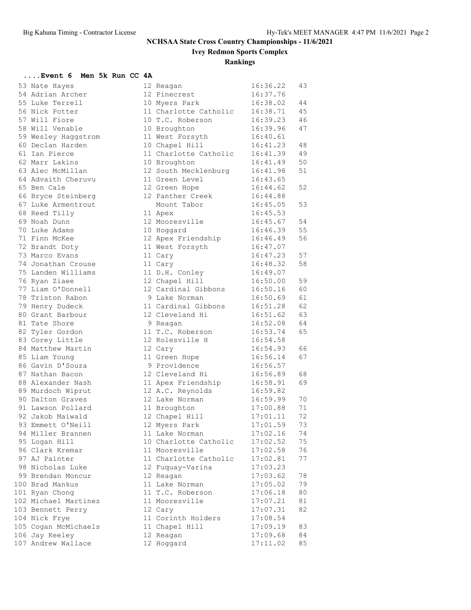**Ivey Redmon Sports Complex**

### **Rankings**

### **....Event 6 Men 5k Run CC 4A**

| 53 Nate Hayes        | 12 Reagan                              | 16:36.22 | 43 |
|----------------------|----------------------------------------|----------|----|
| 54 Adrian Archer     | 12 Pinecrest                           | 16:37.76 |    |
| 55 Luke Terrell      | 10 Myers Park                          | 16:38.02 | 44 |
| 56 Nick Potter       | 11 Charlotte Catholic                  | 16:38.71 | 45 |
| 57 Will Fiore        | 10 T.C. Roberson                       | 16:39.23 | 46 |
| 58 Will Venable      | 10 Broughton                           | 16:39.96 | 47 |
| 59 Wesley Haggstrom  | 11 West Forsyth                        | 16:40.61 |    |
| 60 Declan Harden     | 10 Chapel Hill                         | 16:41.23 | 48 |
| 61 Ian Pierce        | 11 Charlotte Catholic                  | 16:41.39 | 49 |
| 62 Marr Lakins       | 10 Broughton                           | 16:41.49 | 50 |
| 63 Alec McMillan     | 12 South Mecklenburg                   | 16:41.98 | 51 |
| 64 Advaith Cheruvu   | 11 Green Level                         | 16:43.65 |    |
| 65 Ben Cale          | 12 Green Hope                          | 16:44.62 | 52 |
| 66 Bryce Steinberg   | 12 Panther Creek                       | 16:44.88 |    |
| 67 Luke Armentrout   | Mount Tabor                            | 16:45.05 | 53 |
| 68 Reed Tilly        | 11 Apex                                | 16:45.53 |    |
| 69 Noah Dunn         | 12 Mooresville                         | 16:45.67 | 54 |
| 70 Luke Adams        | 10 Hoggard                             | 16:46.39 | 55 |
| 71 Finn McKee        | 12 Apex Friendship                     | 16:46.49 | 56 |
| 72 Brandt Doty       | 11 West Forsyth                        | 16:47.07 |    |
| 73 Marco Evans       | 11 Cary                                | 16:47.23 | 57 |
| 74 Jonathan Crouse   | 11 Cary                                | 16:48.32 | 58 |
| 75 Landen Williams   | 11 D.H. Conley                         | 16:49.07 |    |
| 76 Ryan Ziaee        | 12 Chapel Hill                         | 16:50.00 | 59 |
| 77 Liam O'Donnell    | 12 Cardinal Gibbons                    | 16:50.16 | 60 |
| 78 Triston Rabon     | 9 Lake Norman                          | 16:50.69 | 61 |
| 79 Henry Dudeck      | 11 Cardinal Gibbons                    | 16:51.28 | 62 |
| 80 Grant Barbour     | 12 Cleveland Hi                        | 16:51.62 | 63 |
| 81 Tate Shore        | 9 Reagan                               | 16:52.08 | 64 |
| 82 Tyler Gordon      | 11 T.C. Roberson                       | 16:53.74 | 65 |
| 83 Corey Little      | 12 Rolesville H                        | 16:54.58 |    |
| 84 Matthew Martin    | 12 Cary                                | 16:54.93 | 66 |
| 85 Liam Young        | 11 Green Hope                          | 16:56.14 | 67 |
| 86 Gavin D'Souza     | 9 Providence                           | 16:56.57 |    |
| 87 Nathan Bacon      | 12 Cleveland Hi                        | 16:56.89 | 68 |
| 88 Alexander Nash    |                                        | 16:58.91 | 69 |
| 89 Murdoch Wiprut    | 11 Apex Friendship<br>12 A.C. Reynolds | 16:59.82 |    |
| 90 Dalton Graves     | 12 Lake Norman                         | 16:59.99 | 70 |
| 91 Lawson Pollard    | 11 Broughton                           | 17:00.88 | 71 |
| 92 Jakob Maiwald     |                                        | 17:01.11 | 72 |
|                      | 12 Chapel Hill                         |          | 73 |
| 93 Emmett O'Neill    | 12 Myers Park<br>11 Lake Norman        | 17:01.59 | 74 |
| 94 Miller Brannen    |                                        | 17:02.16 | 75 |
| 95 Logan Hill        | 10 Charlotte Catholic                  | 17:02.52 |    |
| 96 Clark Kremar      | 11 Mooresville                         | 17:02.58 | 76 |
| 97 AJ Painter        | 11 Charlotte Catholic                  | 17:02.81 | 77 |
| 98 Nicholas Luke     | 12 Fuquay-Varina                       | 17:03.23 |    |
| 99 Brendan Moncur    | 12 Reagan                              | 17:03.62 | 78 |
| 100 Brad Mankus      | 11 Lake Norman                         | 17:05.02 | 79 |
| 101 Ryan Chong       | 11 T.C. Roberson                       | 17:06.18 | 80 |
| 102 Michael Martinez | 11 Mooresville                         | 17:07.21 | 81 |
| 103 Bennett Perry    | 12 Cary                                | 17:07.31 | 82 |
| 104 Nick Frye        | 11 Corinth Holders                     | 17:08.54 |    |
| 105 Cogan McMichaels | 11 Chapel Hill                         | 17:09.19 | 83 |
| 106 Jay Keeley       | 12 Reagan                              | 17:09.68 | 84 |
| 107 Andrew Wallace   | 12 Hoggard                             | 17:11.02 | 85 |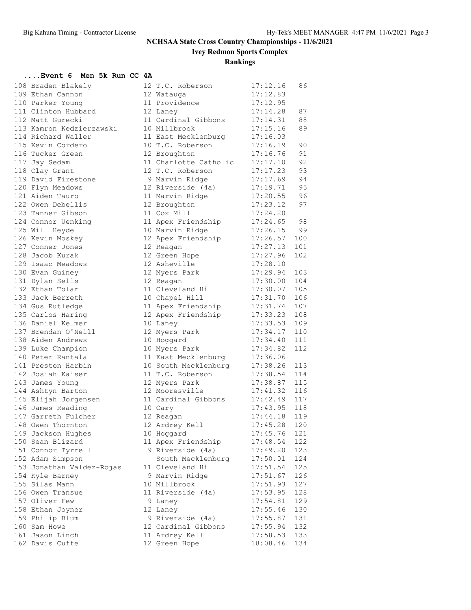**Ivey Redmon Sports Complex**

**Rankings**

#### **....Event 6 Men 5k Run CC 4A**

| 108 Braden Blakely                  | 12 T.C. Roberson                                                                | 17:12.16             | 86  |
|-------------------------------------|---------------------------------------------------------------------------------|----------------------|-----|
| 109 Ethan Cannon                    | 12 Watauga                                                                      | 17:12.83             |     |
| 110 Parker Young                    | 11 Providence                                                                   | 17:12.95             |     |
| 111 Clinton Hubbard                 | 12 Laney                                                                        | 17:14.28             | 87  |
| 112 Matt Gurecki                    | 11 Cardinal Gibbons                                                             | 17:14.31             | 88  |
| 113 Kamron Kedzierzawski            | 10 Millbrook                                                                    | 17:15.16             | 89  |
| 114 Richard Waller                  | 11 East Mecklenburg                                                             | 17:16.03             |     |
| 115 Kevin Cordero                   | 10 T.C. Roberson                                                                | 17:16.19             | 90  |
| 116 Tucker Green                    | 12 Broughton                                                                    | 17:16.76             | 91  |
| 117 Jay Sedam                       | 11 Charlotte Catholic                                                           | 17:17.10             | 92  |
| 118 Clay Grant                      | 12 T.C. Roberson                                                                | 17:17.23             | 93  |
| 119 David Firestone                 | 9 Marvin Ridge                                                                  | 17:17.69             | 94  |
| 120 Flyn Meadows                    |                                                                                 | 17:19.71             | 95  |
| 121 Aiden Tauro                     | 12 Riverside (4a) 17:19.71<br>11 Marvin Ridge 17:20.55<br>12 Broughton 17:23.12 | 17:20.55 96          |     |
| 122 Owen Debellis                   |                                                                                 |                      | 97  |
| 123 Tanner Gibson                   | 11 Cox Mill                                                                     | 17:24.20             |     |
| 124 Connor Uenking                  | 11 Apex Friendship 17:24.65                                                     |                      | 98  |
| 125 Will Heyde                      | 10 Marvin Ridge                                                                 | 17:26.15             | 99  |
| 126 Kevin Moskey                    | 12 Apex Friendship                                                              | 17:26.57             | 100 |
| 127 Conner Jones                    | 12 Reagan                                                                       | 17:27.13             | 101 |
| 128 Jacob Kurak                     | 12 Green Hope                                                                   | 17:27.96             | 102 |
| 129 Isaac Meadows                   | 12 Asheville                                                                    | 17:28.10             |     |
| 130 Evan Guiney                     | 12 Myers Park                                                                   | 17:29.94             | 103 |
| 131 Dylan Sells                     | 12 Reagan                                                                       | 17:30.00             | 104 |
| 132 Ethan Tolar                     | 11 Cleveland Hi                                                                 | 17:30.07             | 105 |
| 133 Jack Berreth                    | 10 Chapel Hill                                                                  | 17:31.70             | 106 |
| 134 Gus Rutledge                    | 11 Apex Friendship 17:31.74                                                     |                      | 107 |
| 135 Carlos Haring                   | 12 Apex Friendship 17:33.23                                                     |                      | 108 |
| 136 Daniel Kelmer                   | 10 Laney                                                                        | 17:33.53             | 109 |
| 137 Brendan O'Neill                 | 12 Myers Park                                                                   | 17:34.17             | 110 |
| 138 Aiden Andrews                   | 10 Hoggard                                                                      | 17:34.40             | 111 |
| 139 Luke Champion                   | 10 Myers Park                                                                   | 17:34.82             | 112 |
| 140 Peter Rantala                   | 11 East Mecklenburg 17:36.06                                                    |                      |     |
| 141 Preston Harbin                  | 10 South Mecklenburg                                                            | 17:38.26             | 113 |
| 142 Josiah Kaiser                   | 11 T.C. Roberson 17:38.54                                                       |                      | 114 |
| 143 James Young                     | 12 Myers Park                                                                   | 17:38.87             | 115 |
| 144 Ashtyn Barton                   | 12 Mooresville                                                                  | 17:41.32             | 116 |
| 111 ---<br>145 Elijah Jorgensen<br> | 11 Cardinal Gibbons 17:42.49                                                    |                      | 117 |
| 146 James Reading                   | 10 Cary                                                                         | 17:43.95             | 118 |
| 147 Garreth Fulcher                 | 12 Reagan                                                                       | 17:44.18             | 119 |
| 148 Owen Thornton                   | 12 Ardrey Kell                                                                  | 17:45.28             | 120 |
| 149 Jackson Hughes                  | 10 Hoggard                                                                      | 17:45.76             | 121 |
| 150 Sean Blizard                    | 11 Apex Friendship                                                              | 17:48.54             | 122 |
| 151 Connor Tyrrell                  | 9 Riverside (4a)                                                                | 17:49.20             | 123 |
| 152 Adam Simpson                    | South Mecklenburg                                                               | 17:50.01             | 124 |
| 153 Jonathan Valdez-Rojas           | 11 Cleveland Hi                                                                 | 17:51.54             | 125 |
|                                     |                                                                                 |                      |     |
| 154 Kyle Barney                     | 9 Marvin Ridge<br>10 Millbrook                                                  | 17:51.67             | 126 |
| 155 Silas Mann                      |                                                                                 | 17:51.93             | 127 |
| 156 Owen Transue                    | 11 Riverside (4a)                                                               | 17:53.95             | 128 |
| 157 Oliver Few                      | 9 Laney                                                                         | 17:54.81             | 129 |
| 158 Ethan Joyner                    | 12 Laney<br>9 Riverside (4a)                                                    | 17:55.46<br>17:55.87 | 130 |
| 159 Philip Blum                     |                                                                                 |                      | 131 |
| 160 Sam Howe                        | 12 Cardinal Gibbons                                                             | 17:55.94             | 132 |
| 161 Jason Linch                     | 11 Ardrey Kell                                                                  | 17:58.53             | 133 |
| 162 Davis Cuffe                     | 12 Green Hope                                                                   | 18:08.46             | 134 |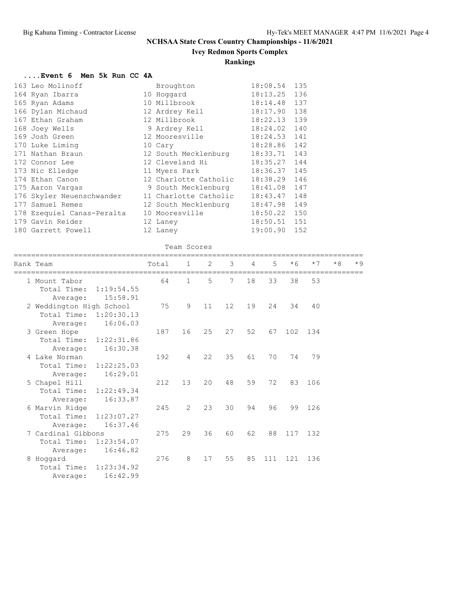### **Ivey Redmon Sports Complex**

### **Rankings**

#### **....Event 6 Men 5k Run CC 4A**

|                                                                                                                                                                                                                                                                                                                                                                                | Broughton | 18:08.54                                                                                                                                                                                                                                                                                                          | 135          |
|--------------------------------------------------------------------------------------------------------------------------------------------------------------------------------------------------------------------------------------------------------------------------------------------------------------------------------------------------------------------------------|-----------|-------------------------------------------------------------------------------------------------------------------------------------------------------------------------------------------------------------------------------------------------------------------------------------------------------------------|--------------|
|                                                                                                                                                                                                                                                                                                                                                                                |           | 18:13.25                                                                                                                                                                                                                                                                                                          | 136          |
|                                                                                                                                                                                                                                                                                                                                                                                |           | 18:14.48                                                                                                                                                                                                                                                                                                          | 137          |
|                                                                                                                                                                                                                                                                                                                                                                                |           | 18:17.90                                                                                                                                                                                                                                                                                                          | 138          |
|                                                                                                                                                                                                                                                                                                                                                                                |           | 18:22.13                                                                                                                                                                                                                                                                                                          | 139          |
|                                                                                                                                                                                                                                                                                                                                                                                |           | 18:24.02                                                                                                                                                                                                                                                                                                          | 140          |
|                                                                                                                                                                                                                                                                                                                                                                                |           | 18:24.53                                                                                                                                                                                                                                                                                                          | 141          |
|                                                                                                                                                                                                                                                                                                                                                                                |           | 18:28.86                                                                                                                                                                                                                                                                                                          | 142          |
|                                                                                                                                                                                                                                                                                                                                                                                |           | 18:33.71                                                                                                                                                                                                                                                                                                          | 143          |
|                                                                                                                                                                                                                                                                                                                                                                                |           | 18:35.27                                                                                                                                                                                                                                                                                                          | 144          |
|                                                                                                                                                                                                                                                                                                                                                                                |           | 18:36.37                                                                                                                                                                                                                                                                                                          | 145          |
|                                                                                                                                                                                                                                                                                                                                                                                |           | 18:38.29                                                                                                                                                                                                                                                                                                          | 146          |
|                                                                                                                                                                                                                                                                                                                                                                                |           | 18:41.08                                                                                                                                                                                                                                                                                                          | 147          |
|                                                                                                                                                                                                                                                                                                                                                                                |           | 18:43.47                                                                                                                                                                                                                                                                                                          | 148          |
|                                                                                                                                                                                                                                                                                                                                                                                |           | 18:47.98                                                                                                                                                                                                                                                                                                          | 149          |
|                                                                                                                                                                                                                                                                                                                                                                                |           | 18:50.22                                                                                                                                                                                                                                                                                                          | 150          |
|                                                                                                                                                                                                                                                                                                                                                                                |           |                                                                                                                                                                                                                                                                                                                   |              |
|                                                                                                                                                                                                                                                                                                                                                                                |           | 19:00.90                                                                                                                                                                                                                                                                                                          | 152          |
| 163 Leo Molinoff<br>164 Ryan Ibarra<br>165 Ryan Adams<br>166 Dylan Michaud<br>167 Ethan Graham<br>168 Joey Wells<br>169 Josh Green<br>170 Luke Liming<br>171 Nathan Braun<br>172 Connor Lee<br>173 Nic Elledge<br>174 Ethan Canon<br>175 Aaron Vargas<br>176 Skyler Neuenschwander<br>177 Samuel Remes<br>178 Ezequiel Canas-Peralta<br>179 Gavin Reider<br>180 Garrett Powell |           | 10 Hoqqard<br>10 Millbrook<br>12 Ardrey Kell<br>12 Millbrook<br>9 Ardrey Kell<br>12 Mooresville<br>10 Cary<br>12 South Mecklenburg<br>12 Cleveland Hi<br>11 Myers Park<br>12 Charlotte Catholic<br>9 South Mecklenburg<br>11 Charlotte Catholic<br>12 South Mecklenburg<br>10 Mooresville<br>12 Laney<br>12 Laney | 18:50.51 151 |

#### Team Scores

| Rank Team                             | Total | $\mathbf{1}$   | 2  | 3                 | 4  | $5^{\circ}$ | $*6$ | $*7$    | $*8$ | $*9$ |
|---------------------------------------|-------|----------------|----|-------------------|----|-------------|------|---------|------|------|
| 1 Mount Tabor                         | 64    | $\mathbf{1}$   | 5  | $7^{\circ}$       | 18 | 33          | 38   | 53      |      |      |
| Total Time: 1:19:54.55<br>15:58.91    |       |                |    |                   |    |             |      |         |      |      |
| Average:<br>2 Weddington High School  | 75    | 9              | 11 | $12 \overline{ }$ | 19 | 2.4         | 34   | 40      |      |      |
| Total Time: 1:20:30.13                |       |                |    |                   |    |             |      |         |      |      |
| 16:06.03<br>Average:                  |       |                |    |                   |    |             |      |         |      |      |
| 3 Green Hope                          | 187   | 16             | 25 | 27                | 52 | 67          | 102  | 134     |      |      |
| 1:22:31.86<br>Total Time:             |       |                |    |                   |    |             |      |         |      |      |
| 16:30.38<br>Average:                  |       |                |    |                   |    |             |      |         |      |      |
| 4 Lake Norman                         | 192   | $\overline{4}$ | 22 | 35                | 61 | 70          | 74   | 79      |      |      |
| Total Time:<br>1:22:25.03             |       |                |    |                   |    |             |      |         |      |      |
| 16:29.01<br>Average:<br>5 Chapel Hill | 212   | 13             | 20 | 48                | 59 | 72          | 83   | 106     |      |      |
| Total Time:<br>1:22:49.34             |       |                |    |                   |    |             |      |         |      |      |
| 16:33.87<br>Average:                  |       |                |    |                   |    |             |      |         |      |      |
| 6 Marvin Ridge                        | 245   | $\overline{2}$ | 23 | 30                | 94 | 96          | 99   | 126     |      |      |
| Total Time:<br>1:23:07.27             |       |                |    |                   |    |             |      |         |      |      |
| 16:37.46<br>Average:                  |       |                |    |                   |    |             |      |         |      |      |
| 7 Cardinal Gibbons                    | 275   | 29             | 36 | 60                | 62 | 88          |      | 117 132 |      |      |
| Total Time:<br>1:23:54.07             |       |                |    |                   |    |             |      |         |      |      |
| 16:46.82<br>Average:                  |       |                |    |                   |    |             |      |         |      |      |
| 8 Hoggard                             | 276   | 8              | 17 | 55                | 85 | 111         | 121  | 136     |      |      |
| Total Time: 1:23:34.92                |       |                |    |                   |    |             |      |         |      |      |
| 16:42.99<br>Average:                  |       |                |    |                   |    |             |      |         |      |      |